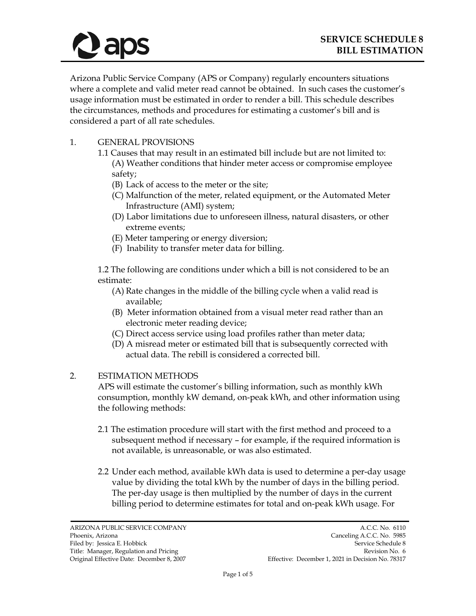

Arizona Public Service Company (APS or Company) regularly encounters situations where a complete and valid meter read cannot be obtained. In such cases the customer's usage information must be estimated in order to render a bill. This schedule describes the circumstances, methods and procedures for estimating a customer's bill and is considered a part of all rate schedules.

- 1. GENERAL PROVISIONS
	- 1.1 Causes that may result in an estimated bill include but are not limited to: (A) Weather conditions that hinder meter access or compromise employee safety;
		- (B) Lack of access to the meter or the site;
		- (C) Malfunction of the meter, related equipment, or the Automated Meter Infrastructure (AMI) system;
		- (D) Labor limitations due to unforeseen illness, natural disasters, or other extreme events;
		- (E) Meter tampering or energy diversion;
		- (F) Inability to transfer meter data for billing.

1.2 The following are conditions under which a bill is not considered to be an estimate:

- (A) Rate changes in the middle of the billing cycle when a valid read is available;
- (B) Meter information obtained from a visual meter read rather than an electronic meter reading device;
- (C) Direct access service using load profiles rather than meter data;
- (D) A misread meter or estimated bill that is subsequently corrected with actual data. The rebill is considered a corrected bill.

#### 2. ESTIMATION METHODS

APS will estimate the customer's billing information, such as monthly kWh consumption, monthly kW demand, on-peak kWh, and other information using the following methods:

- 2.1 The estimation procedure will start with the first method and proceed to a subsequent method if necessary – for example, if the required information is not available, is unreasonable, or was also estimated.
- 2.2 Under each method, available kWh data is used to determine a per-day usage value by dividing the total kWh by the number of days in the billing period. The per-day usage is then multiplied by the number of days in the current billing period to determine estimates for total and on-peak kWh usage. For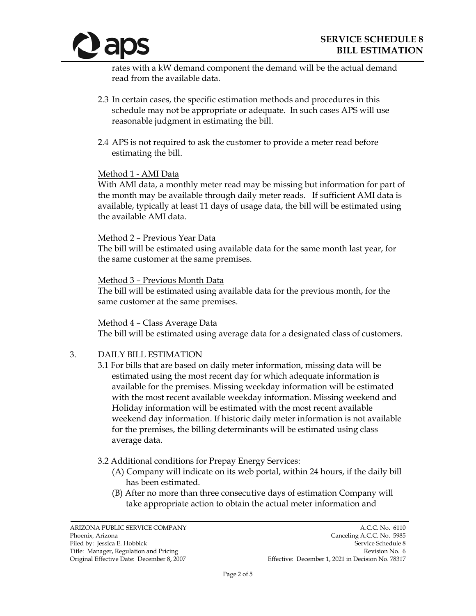

rates with a kW demand component the demand will be the actual demand read from the available data.

- 2.3 In certain cases, the specific estimation methods and procedures in this schedule may not be appropriate or adequate. In such cases APS will use reasonable judgment in estimating the bill.
- 2.4 APS is not required to ask the customer to provide a meter read before estimating the bill.

#### Method 1 - AMI Data

With AMI data, a monthly meter read may be missing but information for part of the month may be available through daily meter reads. If sufficient AMI data is available, typically at least 11 days of usage data, the bill will be estimated using the available AMI data.

#### Method 2 – Previous Year Data

The bill will be estimated using available data for the same month last year, for the same customer at the same premises.

#### Method 3 – Previous Month Data

The bill will be estimated using available data for the previous month, for the same customer at the same premises.

#### Method 4 – Class Average Data

The bill will be estimated using average data for a designated class of customers.

### 3. DAILY BILL ESTIMATION

3.1 For bills that are based on daily meter information, missing data will be estimated using the most recent day for which adequate information is available for the premises. Missing weekday information will be estimated with the most recent available weekday information. Missing weekend and Holiday information will be estimated with the most recent available weekend day information. If historic daily meter information is not available for the premises, the billing determinants will be estimated using class average data.

### 3.2 Additional conditions for Prepay Energy Services:

- (A) Company will indicate on its web portal, within 24 hours, if the daily bill has been estimated.
- (B) After no more than three consecutive days of estimation Company will take appropriate action to obtain the actual meter information and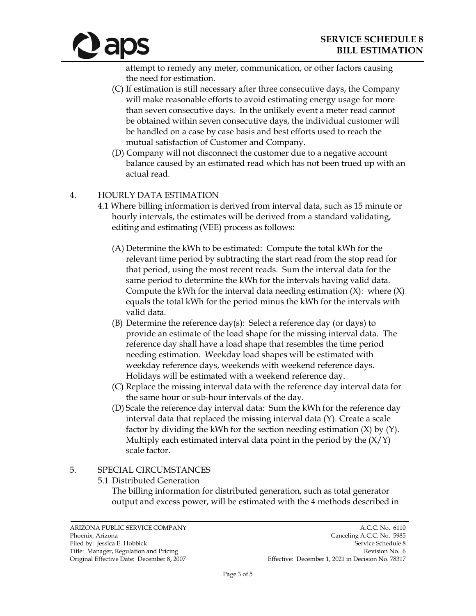

attempt to remedy any meter, communication, or other factors causing the need for estimation.

- (C) If estimation is still necessary after three consecutive days, the Company will make reasonable efforts to avoid estimating energy usage for more than seven consecutive days. In the unlikely event a meter read cannot be obtained within seven consecutive days, the individual customer will be handled on a case by case basis and best efforts used to reach the mutual satisfaction of Customer and Company.
- (D) Company will not disconnect the customer due to a negative account balance caused by an estimated read which has not been trued up with an actual read.

# 4. HOURLY DATA ESTIMATION

- 4.1 Where billing information is derived from interval data, such as 15 minute or hourly intervals, the estimates will be derived from a standard validating, editing and estimating (VEE) process as follows:
	- (A) Determine the kWh to be estimated: Compute the total kWh for the relevant time period by subtracting the start read from the stop read for that period, using the most recent reads. Sum the interval data for the same period to determine the kWh for the intervals having valid data. Compute the kWh for the interval data needing estimation  $(X)$ : where  $(X)$ equals the total kWh for the period minus the kWh for the intervals with valid data.
	- (B) Determine the reference day(s): Select a reference day (or days) to provide an estimate of the load shape for the missing interval data. The reference day shall have a load shape that resembles the time period needing estimation. Weekday load shapes will be estimated with weekday reference days, weekends with weekend reference days. Holidays will be estimated with a weekend reference day.
	- (C) Replace the missing interval data with the reference day interval data for the same hour or sub-hour intervals of the day.
	- (D) Scale the reference day interval data: Sum the kWh for the reference day interval data that replaced the missing interval data (Y). Create a scale factor by dividing the kWh for the section needing estimation (X) by (Y). Multiply each estimated interval data point in the period by the  $(X/Y)$ scale factor.

# 5. SPECIAL CIRCUMSTANCES

5.1 Distributed Generation

The billing information for distributed generation, such as total generator output and excess power, will be estimated with the 4 methods described in

ARIZONA PUBLIC SERVICE COMPANY A.C.C. No. 6110<br>Phoenix, Arizona Canceling A.C.C. No. 5985

Canceling A.C.C. No. 5985 Filed by: Jessica E. Hobbick Service Schedule 8 Title: Manager, Regulation and Pricing Revision No. 6 and Revision No. 6 and Revision No. 6 and Revision No. 6 Original Effective Date: December 8, 2007 Effective: December 1, 2021 in Decision No. 78317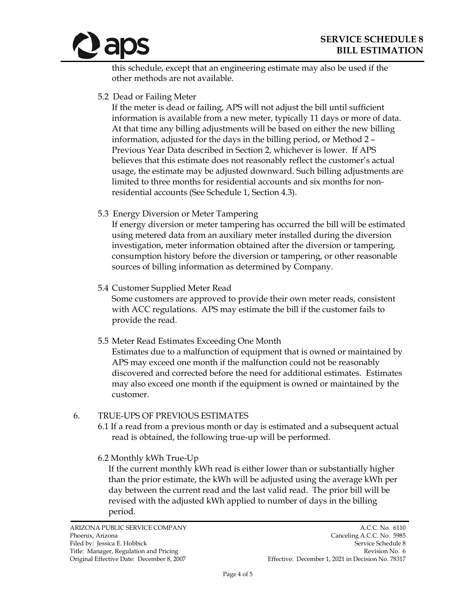

this schedule, except that an engineering estimate may also be used if the other methods are not available.

5.2 Dead or Failing Meter

If the meter is dead or failing, APS will not adjust the bill until sufficient information is available from a new meter, typically 11 days or more of data. At that time any billing adjustments will be based on either the new billing information, adjusted for the days in the billing period, or Method 2 – Previous Year Data described in Section 2, whichever is lower. If APS believes that this estimate does not reasonably reflect the customer's actual usage, the estimate may be adjusted downward. Such billing adjustments are limited to three months for residential accounts and six months for nonresidential accounts (See Schedule 1, Section 4.3).

5.3 Energy Diversion or Meter Tampering

If energy diversion or meter tampering has occurred the bill will be estimated using metered data from an auxiliary meter installed during the diversion investigation, meter information obtained after the diversion or tampering, consumption history before the diversion or tampering, or other reasonable sources of billing information as determined by Company.

5.4 Customer Supplied Meter Read

Some customers are approved to provide their own meter reads, consistent with ACC regulations. APS may estimate the bill if the customer fails to provide the read.

5.5 Meter Read Estimates Exceeding One Month

Estimates due to a malfunction of equipment that is owned or maintained by APS may exceed one month if the malfunction could not be reasonably discovered and corrected before the need for additional estimates. Estimates may also exceed one month if the equipment is owned or maintained by the customer.

### 6. TRUE-UPS OF PREVIOUS ESTIMATES

- 6.1 If a read from a previous month or day is estimated and a subsequent actual read is obtained, the following true-up will be performed.
- 6.2 Monthly kWh True-Up

If the current monthly kWh read is either lower than or substantially higher than the prior estimate, the kWh will be adjusted using the average kWh per day between the current read and the last valid read. The prior bill will be revised with the adjusted kWh applied to number of days in the billing period.

ARIZONA PUBLIC SERVICE COMPANY A.C.C. No. 6110<br>Phoenix, Arizona Canceling A.C.C. No. 5985 Canceling A.C.C. No. 5985 Filed by: Jessica E. Hobbick Service Schedule 8 Title: Manager, Regulation and Pricing Revision No. 6 and Revision No. 6 and Revision No. 6 and Revision No. 6 Original Effective Date: December 8, 2007 Effective: December 1, 2021 in Decision No. 78317